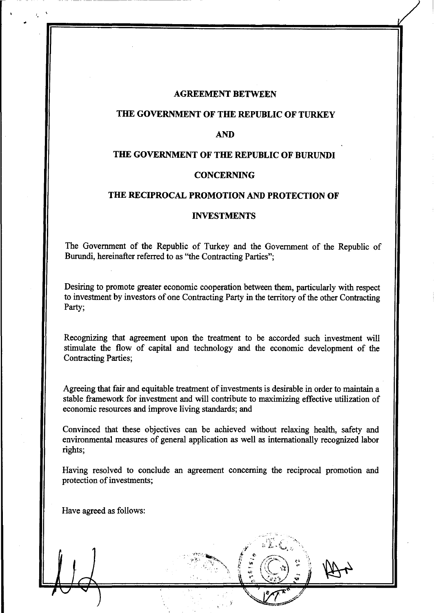#### **AGREEMENT BETWEEN**

J

#### **THE GOVERNMENT OF THE REPUBLIC OF TURKEY**

### **AND**

### **THE GOVERNMENT OF THE REPUBLIC OF BURUNDI**

### **CONCERNING**

### **THE RECIPROCAL PROMOTION AND PROTECTION OF**

#### **INVESTMENTS**

The Government of the Republic of Turkey and the Government of the Republic of Burundi, hereinafter referred to as ''the Contracting Parties";

Desiring to promote greater economic cooperation between them, particularly with respect to investment by investors of one Contracting Party in the territory of the other Contracting Party;

Recognizing that agreement upon the treatment to be accorded such investment will stimulate the flow of capital and technology and the economic development of the Contracting Parties;

Agreeing that fair and equitable treatment of investments is desirable in order to maintain a stable framework for investment and will contribute to maximizing effective utilization of economic resources and improve living standards; and

Convinced that these objectives can be achieved without relaxing health, safety and environmental measures of general application as well as internationally recognized labor rights;

Having resolved to conclude an agreement concerning the reciprocal promotion and protection of investments;

, .

Have agreed as follows:

I

**fV V** )

..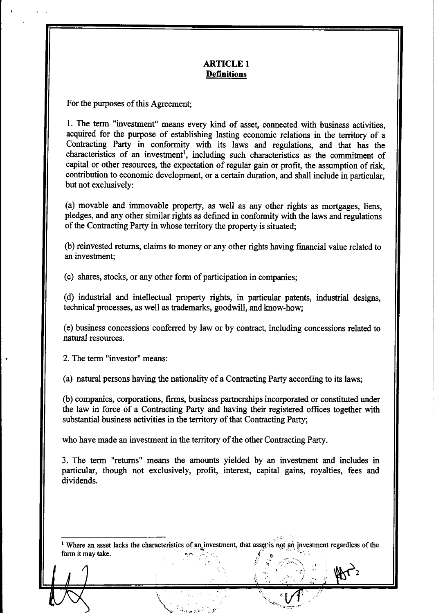## **ARTICLE** I **Definitions**

For the purposes of this Agreement;

1. The term "investment" means every kind of asset, connected with business activities, acquired for the purpose of establishing lasting economic relations in the territory of a Contracting Party in conformity with its laws and regulations, and that has the characteristics of an investment<sup>1</sup>, including such characteristics as the commitment of capital or other resources, the expectation of regular gain or profit, the assumption of risk, contribution to economic development, or a certain duration, and shall include in particular, but not exclusively:

(a) movable and immovable property, as well as any other rights as mortgages, liens, pledges, and any other similar rights as defined in conformity with the laws and regulations of the Contracting Party in whose territory the property is situated;

(b) reinvested returns, claims to money or any other rights having fmancial value related to an investment;

(c) shares, stocks, or any other form of participation in companies;

(d) industrial and intellectual property rights, in particular patents, industrial designs, technical processes, as well as trademarks, goodwill, and know-how;

(e) business concessions conferred by law or by contract, including concessions related to natural resources.

2. The term "investor" means:

(a) natural persons having the nationality of a Contracting Party according to its laws;

(b) companies, corporations, firms, business partnerships incorporated or constituted under the law in force of a Contracting Party and having their registered offices together with substantial business activities in the territory of that Contracting Party;

who have made an investment in the territory of the other Contracting Party.

3. The term "returns" means the amounts yielded by an investment and includes in particular, though not exclusively, profit, interest, capital gains, royalties, fees and dividends.

<sup>1</sup> Where an asset lacks the characteristics of an investment, that assettis not an investment regardless of the form it may take.

*l I ..* =:· ,;· .• .-· .';., :' . • ~:2 1 ~r -.' )

\_:\_ \' '.', ·. ' •: / <-. /1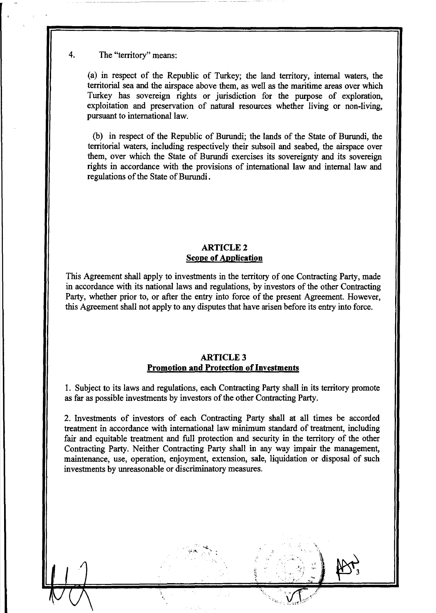4. The "territory" means:

(a) in respect of the Republic of Turkey; the land territory, internal waters, the territorial sea and the airspace above them, as well as the maritime areas over which Turkey has sovereign rights or jurisdiction for the purpose of exploration, exploitation and preservation of natural resources whether living or non-living, pursuant to international law.

(b) in respect of the Republic of Burundi; the lands of the State of Burundi, the territorial waters, including respectively their subsoil and seabed, the airspace over them, over which the State of Burundi exercises its sovereignty and its sovereign rights in accordance with the provisions of international law and internal law and regulations of the State of Burundi.

## **ARTICLE2 Scope of Application**

This Agreement shall apply to investments in the territory of one Contracting Party, made in accordance with its national laws and regulations, by investors of the other Contracting Party, whether prior to, or after the entry into force of the present Agreement. However, this Agreement shall not apply to any disputes that have arisen before its entry into force.

## **ARTICLE3 Promotion and Protection of Investments**

I. Subject to its laws and regulations, each Contracting Party shall in its territory promote as far as possible investments by investors of the other Contracting Party.

2. Investments of investors of each Contracting Party shall at all times be accorded treatment in accordance with international law minimum standard of treatment, including fair and equitable treatment and full protection and security in the territory of the other Contracting Party. Neither Contracting Party shall in any way impair the management, maintenance, use, operation, enjoyment, extension, sale, liquidation or disposal of such investments by unreasonable or discriminatory measures .

.... ...... :"'. . ~ . ,- '

/

*v*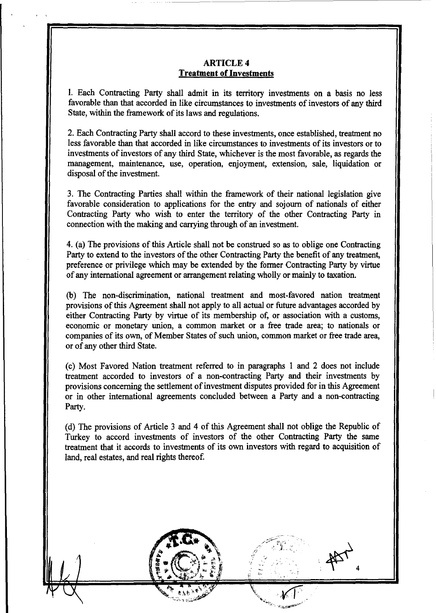## **ARTICLE4 Treatment of Investments**

I. Each Contracting Party shall admit in its territory investments on a basis no less favorable than that accorded in like circumstances to investments of investors of any third State, within the framework of its laws and regulations.

2. Each Contracting Party shall accord to these investments, once established, treatment no less favorable than that accorded in like circumstances to investments of its investors or to investments of investors of any third State, whichever is the most favorable, as regards the management, maintenance, use, operation, enjoyment, extension, sale, liquidation or disposal of the investment.

3. The Contracting Parties shall within the framework of their national legislation give favorable consideration to applications for the entry and sojourn of nationals of either Contracting Party who wish to enter the territory of the other Contracting Party in connection with the making and carrying through of an investment.

4. (a) The provisions of this Article shall not be construed so as to oblige one Contracting Party to extend to the investors of the other Contracting Party the benefit of any treatment, preference or privilege which may be extended by the former Contracting Party by virtue of any international agreement or arrangement relating wholly or mainly to taxation.

(b) The non-discrimination, national treatment and most-favored nation treatment provisions of this Agreement shall not apply to all actual or future advantages accorded by either Contracting Party by virtue of its membership of, or association with a customs, economic or monetary union, a common market or a free trade area; to nationals or companies of its own, of Member States of such union, common market or free trade area, or of any other third State.

(c) Most Favored Nation treatment referred to in paragraphs 1 and 2 does not include treatment accorded to investors of a non-contracting Party and their investments by provisions concerning the settlement of investment disputes provided for in this Agreement or in other international agreements concluded between a Party and a non-contracting Party.

(d) The provisions of Article 3 and 4 of this Agreement shall not oblige the Republic of Turkey to accord investments of investors of the other Contracting Party the same treatment that it accords to investments of its own investors with regard to acquisition of land, real estates, and real rights thereof.

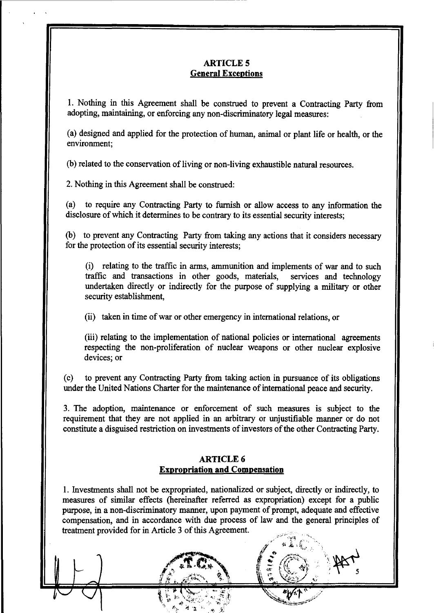# **ARTICLES General Exceptions**

I. Nothing in this Agreement shall be construed to prevent a Contracting Party from adopting, maintaining, or enforcing any non-discriminatory legal measures:

(a) designed and applied for the protection of human, animal or plant life or health, or the environment;

(b) related to the conservation of living or non-living exhaustible natural resources.

2. Nothing in this Agreement shall be construed:

(a) to require any Contracting Party to furnish or allow access to any information the disclosure of which it determines to be contrary to its essential security interests;

(b) to prevent any Contracting Party from taking any actions that it considers necessary for the protection of its essential security interests;

(i) relating to the traffic in arms, ammunition and implements of war and to such traffic and transactions in other goods, materials, services and technology undertaken directly or indirectly for the purpose of supplying a military or other security establishment,

(ii) taken in time of war or other emergency in international relations, or

(iii) relating to the implementation of national policies or international agreements respecting the non-proliferation of nuclear weapons or other nuclear explosive devices; or

(c) to prevent any Contracting Party from taking action in pursuance of its obligations under the United Nations Charter for the maintenance of international peace and security.

3. The adoption, maintenance or enforcement of such measures is subject to the requirement that they are not applied in an arbitrary or unjustifiable manner or do not constitute a disguised restriction on investments of investors of the other Contracting Party.

# **ARTICLE 6 Expropriation and Compensation**

1. Investments shall not be expropriated, nationalized or subject, directly or indirectly, to measures of similar effects (hereinafter referred as expropriation) except for a public purpose, in a non-discriminatory manner, upon payment of prompt, adequate and effective compensation, and in accordance with due process of law and the general principles of treatment provided for in Article 3 of this Agreement.

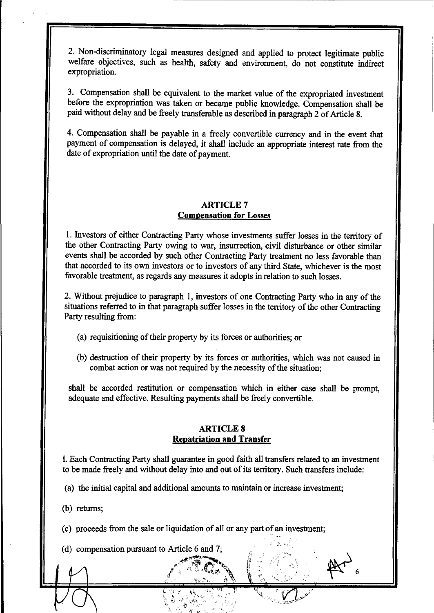2. Non-discriminatory legal measures designed and applied to protect legitimate public welfare objectives, such as health, safety and environment, do not constitute indirect expropriation.

3. Compensation shall be equivalent to the market value of the expropriated investment before the expropriation was taken or became public knowledge. Compensation shall be paid without delay and be freely transferable as described in paragraph 2 of Article 8.

4. Compensation shall be payable in a freely convertible currency and in the event that payment of compensation is delayed, it shall include an appropriate interest rate from the date of expropriation until the date of payment.

## **ARTICLE7 Compensation for** Losses

I. Investors of either Contracting Party whose investments suffer losses in the territory of the other Contracting Party owing to war, insurrection, civil disturbance or other similar events shall be accorded by such other Contracting Party treatment no less favorable than that accorded to its own investors or to investors of any third State, whichever is the most favorable treatment, as regards any measures it adopts in relation to such losses.

2. Without prejudice to paragraph I, investors of one Contracting Party who in any of the situations referred to in that paragraph suffer losses in the territory of the other Contracting Party resulting from:

- (a) requisitioning of their property by its forces or authorities; or
- (b) destruction of their property by its forces or authorities, which was not caused in combat action or was not required by the necessity of the situation;

shall be accorded restitution or compensation which in either case shall be prompt, adequate and effective. Resulting payments shall be freely convertible.

### **ARTICLES Repatriation and Transfer**

I. Each Contracting Party shall guarantee in good faith all transfers related to an investment to be made freely and without delay into and out of its territory. Such transfers include:

(a) the initial capital and additional amounts to maintain or increase investment;

(b) returns;

 $\overline{\mathcal{V}}$ 

(c) proceeds from the sale or liquidation of all or any part of an investment;

(d) compensation pursuant to Article 6 and 7;

VON RESERVE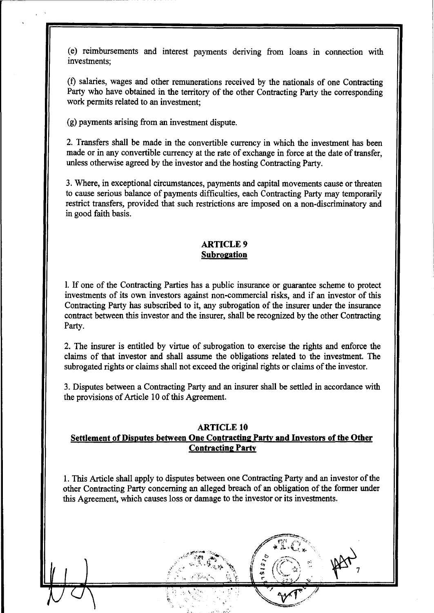(e) reimbursements and interest payments deriving from loans in connection with investments;

(f) salaries, wages and other remunerations received by the nationals of one Contracting Party who have obtained in the territory of the other Contracting Party the corresponding work permits related to an investment;

(g) payments arising from an investment dispute.

2. Transfers shall be made in the convertible currency in which the investment has been made or in any convertible currency at the rate of exchange in force at the date of transfer, unless otherwise agreed by the investor and the hosting Contracting Party.

3. Where, in exceptional circumstances, payments and capital movements cause or threaten to cause serious balance of payments difficulties, each Contracting Party may temporarily restrict transfers, provided that such restrictions are imposed on a non-discriminatory and in good faith basis.

### **ARTICLE9 Subrogation**

I. If one of the Contracting Parties has a public insurance or guarantee scheme to protect investments of its own investors against non-commercial risks, and if an investor of this Contracting Party has subscribed to it, any subrogation of the insurer under the insurance contract between this investor and the insurer, shall be recognized by the other Contracting Party.

2. The insurer is entitled by virtue of subrogation to exercise the rights and enforce the claims of that investor and shall assume the obligations related to the investment. The subrogated rights or claims shall not exceed the original rights or claims of the investor.

3. Disputes between a Contracting Party and an insurer shall be settled in accordance with the provisions of Article 10 of this Agreement.

## **ARTICLE 10 Settlement of Disputes between One Contracting Party and Investors of the Other Contracting Party**

1. This Article shall apply to disputes between one Contracting Party and an investor of the other Contracting Party concerning an alleged breach of an obligation of the former under this Agreement, which causes loss or damage to the investor or its investments.

 $\mathbb{P}_2^* \times \mathbb{P}_2^* \times \mathbb{P}_2^* \times \mathbb{P}_2^*$ 

 $\mathfrak{t}_\mathfrak{p}$ 

,

 $\overline{1}$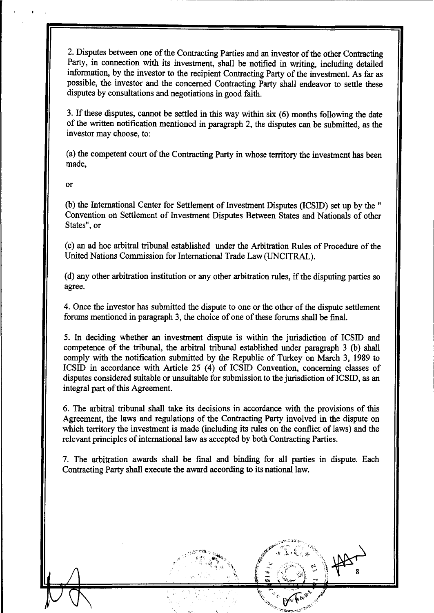2. Disputes between one of the Contracting Parties and an investor of the other Contracting Party, in connection with its investment, shall be notified in writing, including detailed information, by the investor to the recipient Contracting Party of the investment. As far as possible, the investor and the concerned Contracting Party shall endeavor to settle these disputes by consultations and negotiations in good faith.

3. If these disputes, cannot be settled in this way within six (6) months following the date of the written notification mentioned in paragraph 2, the disputes can be submitted, as the investor may choose, to:

(a) the competent court of the Contracting Party in whose territory the investment has been made,

or

 $\sqrt{ }$ 

(b) the International Center for Settlement of Investment Disputes (ICSID) set up by the" Convention on Settlement of Investment Disputes Between States and Nationals of other States", or

(c) an ad hoc arbitral tribunal established under the Arbitration Rules of Procedure of the United Nations Commission for International Trade Law (UNCITRAL).

(d) any other arbitration institution or any other arbitration rules, if the disputing parties so agree.

4. Once the investor has submitted the dispute to one or the other of the dispute settlement forums mentioned in paragraph 3, the choice of one of these forums shall be final.

5. In deciding whether an investment dispute is within the jurisdiction of ICSID and competence of the tribunal, the arbitral tribunal established under paragraph 3 (b) shall comply with the notification submitted by the Republic of Turkey on March 3, 1989 to ICSID in accordance with Article 25 (4) of ICSID Convention, concerning classes of disputes considered suitable or unsuitable for submission to the jurisdiction of ICSID, as an integral part of this Agreement.

6. The arbitral tribunal shall take its decisions in accordance with the provisions of this Agreement, the laws and regulations of the Contracting Party involved in the dispute on which territory the investment is made (including its rules on the conflict of laws) and the relevant principles of international law as accepted by both Contracting Parties.

7. The arbitration awards shall be fmal and binding for all parties in dispute. Each Contracting Party shall execute the award according to its national law.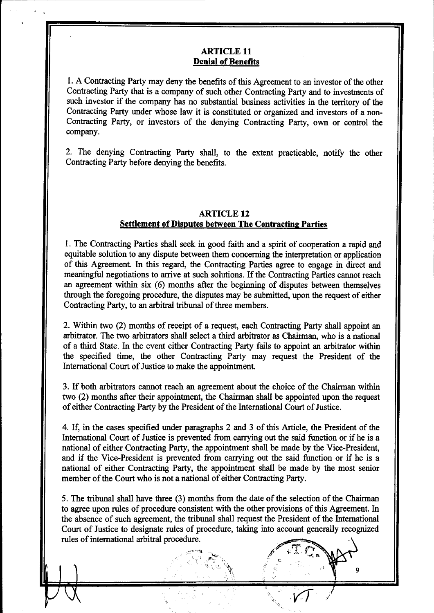## **ARTICLE 11 Denial of Benefits**

1. A Contracting Party may deny the benefits of this Agreement to an investor of the other Contracting Party that is a company of such other Contracting Party and to investments of such investor if the company has no substantial business activities in the territory of the Contracting Party under whose law it is constituted or organized and investors of a non-Contracting Party, or investors of the denying Contracting Party, own or control the company.

2. The denying Contracting Party shall, to the extent practicable, notify the other Contracting Party before denying the benefits.

## **ARTICLE 12 Settlement of Disputes between The Contracting Parties**

1. The Contracting Parties shall seek in good faith and a spirit of cooperation a rapid and equitable solution to any dispute between them concerning the interpretation or application of this Agreement. In this regard, the Contracting Parties agree to engage in direct and meaningful negotiations to arrive at such solutions. If the Contracting Parties cannot reach an agreement within six (6) months after the beginning of disputes between themselves through the foregoing procedure, the disputes may be submitted, upon the request of either Contracting Party, to an arbitral tribunal of three members.

2. Within two (2) months of receipt of a request, each Contracting Party shall appoint an arbitrator. The two arbitrators shall select a third arbitrator as Chairman, who is a national of a third State. In the event either Contracting Party fails to appoint an arbitrator within the specified time, the other Contracting Party may request the President of the International Court of Justice to make the appointment.

3. If both arbitrators cannot reach an agreement about the choice of the Chairman within two (2) months after their appointment, the Chairman shall be appointed upon the request of either Contracting Party by the President of the International Court of Justice.

4. If, in the cases specified under paragraphs 2 and 3 of this Article, the President of the International Court of Justice is prevented from carrying out the said function or if he is a national of either Contracting Party, the appointment shall be made by the Vice-President, and if the Vice-President is prevented from carrying out the said function or if he is a national of either Contracting Party, the appointment shall be made by the most senior member of the Court who is not a national of either Contracting Party.

5. The tribunal shall have three (3) months from the date of the selection of the Chairman to agree upon rules of procedure consistent with the other provisions of this Agreement. In the absence of such agreement, the tribunal shall request the President of the International Court of Justice to designate rules of procedure, taking into account generally recognized rules of international arbitral procedure, taking into account generally recognized of international arbitral procedure.

 $\frac{1}{\alpha}$   $\frac{1}{\beta}$ 

. .., . ' -:~\_ ,.-:: ... -'<~.... ('t •• , •. :; ' -. .

., .) *·-,t.:..\_.* ~ '·, <',,, ~- t: ·- .. \_, ~· .

· .. · : .'' .· . . 9

 $\overline{r}$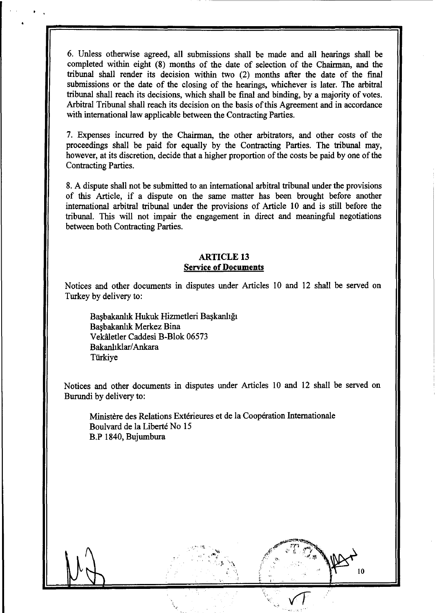6. Unless otherwise agreed, all submissions shall be made and all hearings shall be completed within eight (8) months of the date of selection of the Chairman, and the tribunal shall render its decision within two (2) months after the date of the final submissions or the date of the closing of the hearings, whichever is later. The arbitral tribunal shall reach its decisions, which shall be final and binding, by a majority of votes. Arbitral Tribunal shall reach its decision on the basis of this Agreement and in accordance with international law applicable between the Contracting Parties.

7. Expenses incurred by the Chairman, the other arbitrators, and other costs of the proceedings shall be paid for equally by the Contracting Parties. The tribunal may, however, at its discretion, decide that a higher proportion of the costs be paid by one of the Contracting Parties.

8. A dispute shall not be submitted to an international arbitral tribunal under the provisions of this Article, if a dispute on the same matter has been brought before another international arbitral tribunal under the provisions of Article 10 and is still before the tribunal. This will not impair the engagement in direct and meaningful negotiations between both Contracting Parties.

# ARTICLE 13 Service of Documents

Notices and other documents in disputes under Articles 10 and 12 shall be served on Turkey by delivery to:

Basbakanlık Hukuk Hizmetleri Başkanlığı Basbakanlık Merkez Bina Vekâletler Caddesi B-Blok 06573 Bakanlıklar/Ankara Tiirkiye

Notices and other documents in disputes under Articles 10 and 12 shall be served on Burundi by delivery to:

Ministère des Relations Extérieures et de la Coopération Internationale Boulvard de la Liberte No 15 B.P 1840, Bujumbura

*!* ··- 'X.

"' li .~of,'·

 $\mathcal{E} \rightarrow \mathcal{E}$  $\sum_{i=1}^s \frac{1}{i}$ 

t- ' .· ...

 $\sqrt{1}$ 

 $\mathbb{R}^4$  $\sum_{10}$